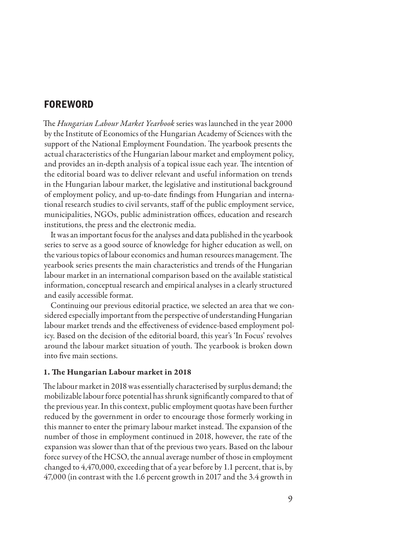# **FOREWORD**

The *Hungarian Labour Market Yearbook* series was launched in the year 2000 by the Institute of Economics of the Hungarian Academy of Sciences with the support of the National Employment Foundation. The yearbook presents the actual characteristics of the Hungarian labour market and employment policy, and provides an in-depth analysis of a topical issue each year. The intention of the editorial board was to deliver relevant and useful information on trends in the Hungarian labour market, the legislative and institutional background of employment policy, and up-to-date findings from Hungarian and international research studies to civil servants, staff of the public employment service, municipalities, NGOs, public administration offices, education and research institutions, the press and the electronic media.

It was an important focus for the analyses and data published in the yearbook series to serve as a good source of knowledge for higher education as well, on the various topics of labour economics and human resources management. The yearbook series presents the main characteristics and trends of the Hungarian labour market in an international comparison based on the available statistical information, conceptual research and empirical analyses in a clearly structured and easily accessible format.

Continuing our previous editorial practice, we selected an area that we considered especially important from the perspective of understanding Hungarian labour market trends and the effectiveness of evidence-based employment policy. Based on the decision of the editorial board, this year's 'In Focus' revolves around the labour market situation of youth. The yearbook is broken down into five main sections.

# 1. The Hungarian Labour market in 2018

The labour market in 2018 was essentially characterised by surplus demand; the mobilizable labour force potential has shrunk significantly compared to that of the previous year. In this context, public employment quotas have been further reduced by the government in order to encourage those formerly working in this manner to enter the primary labour market instead. The expansion of the number of those in employment continued in 2018, however, the rate of the expansion was slower than that of the previous two years. Based on the labour force survey of the HCSO, the annual average number of those in employment changed to 4,470,000, exceeding that of a year before by 1.1 percent, that is, by 47,000 (in contrast with the 1.6 percent growth in 2017 and the 3.4 growth in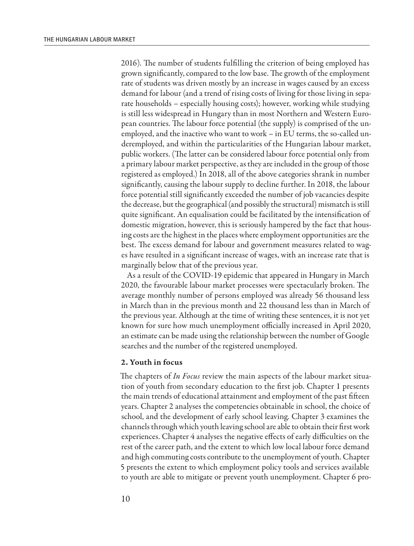2016). The number of students fulfilling the criterion of being employed has grown significantly, compared to the low base. The growth of the employment rate of students was driven mostly by an increase in wages caused by an excess demand for labour (and a trend of rising costs of living for those living in separate households – especially housing costs); however, working while studying is still less widespread in Hungary than in most Northern and Western European countries. The labour force potential (the supply) is comprised of the unemployed, and the inactive who want to work – in EU terms, the so-called underemployed, and within the particularities of the Hungarian labour market, public workers. (The latter can be considered labour force potential only from a primary labour market perspective, as they are included in the group of those registered as employed.) In 2018, all of the above categories shrank in number significantly, causing the labour supply to decline further. In 2018, the labour force potential still significantly exceeded the number of job vacancies despite the decrease, but the geographical (and possibly the structural) mismatch is still quite significant. An equalisation could be facilitated by the intensification of domestic migration, however, this is seriously hampered by the fact that housing costs are the highest in the places where employment opportunities are the best. The excess demand for labour and government measures related to wages have resulted in a significant increase of wages, with an increase rate that is marginally below that of the previous year.

As a result of the COVID-19 epidemic that appeared in Hungary in March 2020, the favourable labour market processes were spectacularly broken. The average monthly number of persons employed was already 56 thousand less in March than in the previous month and 22 thousand less than in March of the previous year. Although at the time of writing these sentences, it is not yet known for sure how much unemployment officially increased in April 2020, an estimate can be made using the relationship between the number of Google searches and the number of the registered unemployed.

# 2. Youth in focus

The chapters of *In Focus* review the main aspects of the labour market situation of youth from secondary education to the first job. Chapter 1 presents the main trends of educational attainment and employment of the past fifteen years. Chapter 2 analyses the competencies obtainable in school, the choice of school, and the development of early school leaving. Chapter 3 examines the channels through which youth leaving school are able to obtain their first work experiences. Chapter 4 analyses the negative effects of early difficulties on the rest of the career path, and the extent to which low local labour force demand and high commuting costs contribute to the unemployment of youth. Chapter 5 presents the extent to which employment policy tools and services available to youth are able to mitigate or prevent youth unemployment. Chapter 6 pro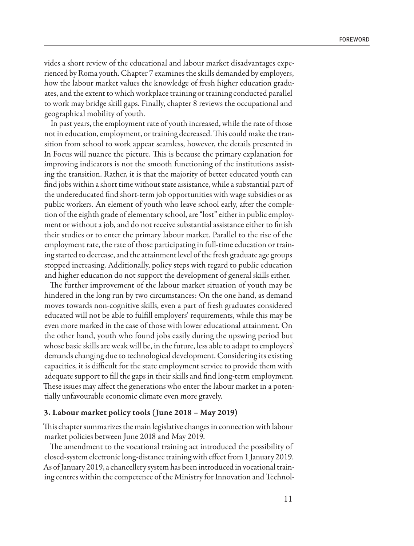vides a short review of the educational and labour market disadvantages experienced by Roma youth. Chapter 7 examines the skills demanded by employers, how the labour market values the knowledge of fresh higher education graduates, and the extent to which workplace training or training conducted parallel to work may bridge skill gaps. Finally, chapter 8 reviews the occupational and geographical mobility of youth.

In past years, the employment rate of youth increased, while the rate of those not in education, employment, or training decreased. This could make the transition from school to work appear seamless, however, the details presented in In Focus will nuance the picture. This is because the primary explanation for improving indicators is not the smooth functioning of the institutions assisting the transition. Rather, it is that the majority of better educated youth can find jobs within a short time without state assistance, while a substantial part of the undereducated find short-term job opportunities with wage subsidies or as public workers. An element of youth who leave school early, after the completion of the eighth grade of elementary school, are "lost" either in public employment or without a job, and do not receive substantial assistance either to finish their studies or to enter the primary labour market. Parallel to the rise of the employment rate, the rate of those participating in full-time education or training started to decrease, and the attainment level of the fresh graduate age groups stopped increasing. Additionally, policy steps with regard to public education and higher education do not support the development of general skills either.

The further improvement of the labour market situation of youth may be hindered in the long run by two circumstances: On the one hand, as demand moves towards non-cognitive skills, even a part of fresh graduates considered educated will not be able to fulfill employers' requirements, while this may be even more marked in the case of those with lower educational attainment. On the other hand, youth who found jobs easily during the upswing period but whose basic skills are weak will be, in the future, less able to adapt to employers' demands changing due to technological development. Considering its existing capacities, it is difficult for the state employment service to provide them with adequate support to fill the gaps in their skills and find long-term employment. These issues may affect the generations who enter the labour market in a potentially unfavourable economic climate even more gravely.

#### 3. Labour market policy tools (June 2018 – May 2019)

This chapter summarizes the main legislative changes in connection with labour market policies between June 2018 and May 2019.

The amendment to the vocational training act introduced the possibility of closed-system electronic long-distance training with effect from 1 January 2019. As of January 2019, a chancellery system has been introduced in vocational training centres within the competence of the Ministry for Innovation and Technol-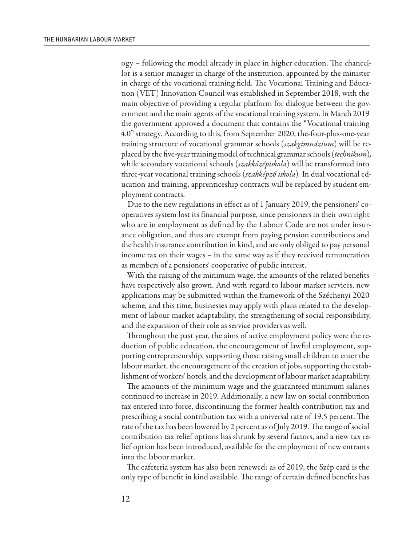ogy – following the model already in place in higher education. The chancellor is a senior manager in charge of the institution, appointed by the minister in charge of the vocational training field. The Vocational Training and Education (VET) Innovation Council was established in September 2018, with the main objective of providing a regular platform for dialogue between the government and the main agents of the vocational training system. In March 2019 the government approved a document that contains the "Vocational training 4.0" strategy. According to this, from September 2020, the-four-plus-one-year training structure of vocational grammar schools (*szakgimnázium*) will be replaced by the five-year training model of technical grammar schools (*technikum*)*,* while secondary vocational schools (*szakközépiskola*) will be transformed into three-year vocational training schools (*szakképző iskola*)*.* In dual vocational education and training, apprenticeship contracts will be replaced by student employment contracts.

Due to the new regulations in effect as of 1 January 2019, the pensioners' cooperatives system lost its financial purpose, since pensioners in their own right who are in employment as defined by the Labour Code are not under insurance obligation, and thus are exempt from paying pension contributions and the health insurance contribution in kind, and are only obliged to pay personal income tax on their wages – in the same way as if they received remuneration as members of a pensioners' cooperative of public interest.

With the raising of the minimum wage, the amounts of the related benefits have respectively also grown. And with regard to labour market services, new applications may be submitted within the framework of the Széchenyi 2020 scheme, and this time, businesses may apply with plans related to the development of labour market adaptability, the strengthening of social responsibility, and the expansion of their role as service providers as well.

Throughout the past year, the aims of active employment policy were the reduction of public education, the encouragement of lawful employment, supporting entrepreneurship, supporting those raising small children to enter the labour market, the encouragement of the creation of jobs, supporting the establishment of workers' hotels, and the development of labour market adaptability.

The amounts of the minimum wage and the guaranteed minimum salaries continued to increase in 2019. Additionally, a new law on social contribution tax entered into force, discontinuing the former health contribution tax and prescribing a social contribution tax with a universal rate of 19.5 percent. The rate of the tax has been lowered by 2 percent as of July 2019. The range of social contribution tax relief options has shrunk by several factors, and a new tax relief option has been introduced, available for the employment of new entrants into the labour market.

The cafeteria system has also been renewed: as of 2019, the Szép card is the only type of benefit in kind available. The range of certain defined benefits has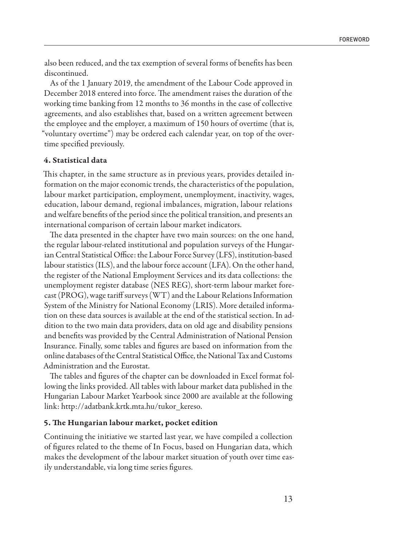also been reduced, and the tax exemption of several forms of benefits has been discontinued.

As of the 1 January 2019, the amendment of the Labour Code approved in December 2018 entered into force. The amendment raises the duration of the working time banking from 12 months to 36 months in the case of collective agreements, and also establishes that, based on a written agreement between the employee and the employer, a maximum of 150 hours of overtime (that is, "voluntary overtime") may be ordered each calendar year, on top of the overtime specified previously.

# 4. Statistical data

This chapter, in the same structure as in previous years, provides detailed information on the major economic trends, the characteristics of the population, labour market participation, employment, unemployment, inactivity, wages, education, labour demand, regional imbalances, migration, labour relations and welfare benefits of the period since the political transition, and presents an international comparison of certain labour market indicators.

The data presented in the chapter have two main sources: on the one hand, the regular labour-related institutional and population surveys of the Hungarian Central Statistical Office: the Labour Force Survey (LFS), institution-based labour statistics (ILS), and the labour force account (LFA). On the other hand, the register of the National Employment Services and its data collections: the unemployment register database (NES REG), short-term labour market forecast (PROG), wage tariff surveys (WT) and the Labour Relations Information System of the Ministry for National Economy (LRIS). More detailed information on these data sources is available at the end of the statistical section. In addition to the two main data providers, data on old age and disability pensions and benefits was provided by the Central Administration of National Pension Insurance. Finally, some tables and figures are based on information from the online databases of the Central Statistical Office, the National Tax and Customs Administration and the Eurostat.

The tables and figures of the chapter can be downloaded in Excel format following the links provided. All tables with labour market data published in the Hungarian Labour Market Yearbook since 2000 are available at the following link: http://adatbank.krtk.mta.hu/tukor\_kereso.

# 5. The Hungarian labour market, pocket edition

Continuing the initiative we started last year, we have compiled a collection of figures related to the theme of In Focus, based on Hungarian data, which makes the development of the labour market situation of youth over time easily understandable, via long time series figures.